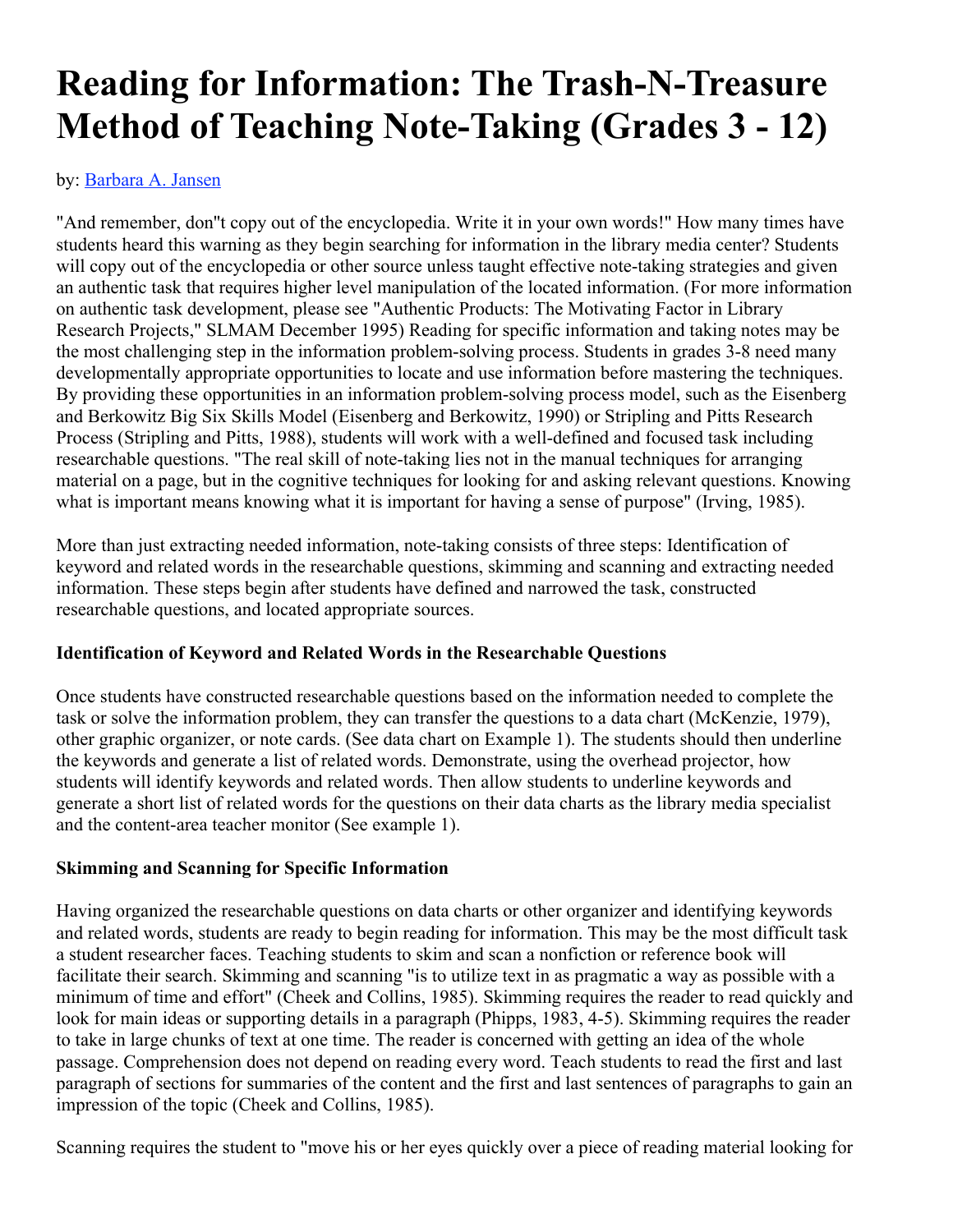# **Reading for Information: The Trash-N-Treasure Method of Teaching Note-Taking (Grades 3 - 12)**

by: Barbara A. Jansen

"And remember, don''t copy out of the encyclopedia. Write it in your own words!" How many times have students heard this warning as they begin searching for information in the library media center? Students will copy out of the encyclopedia or other source unless taught effective note-taking strategies and given an authentic task that requires higher level manipulation of the located information. (For more information on authentic task development, please see "Authentic Products: The Motivating Factor in Library Research Projects," SLMAM December 1995) Reading for specific information and taking notes may be the most challenging step in the information problem-solving process. Students in grades 3-8 need many developmentally appropriate opportunities to locate and use information before mastering the techniques. By providing these opportunities in an information problem-solving process model, such as the Eisenberg and Berkowitz Big Six Skills Model (Eisenberg and Berkowitz, 1990) or Stripling and Pitts Research Process (Stripling and Pitts, 1988), students will work with a well-defined and focused task including researchable questions. "The real skill of note-taking lies not in the manual techniques for arranging material on a page, but in the cognitive techniques for looking for and asking relevant questions. Knowing what is important means knowing what it is important for having a sense of purpose" (Irving, 1985).

More than just extracting needed information, note-taking consists of three steps: Identification of keyword and related words in the researchable questions, skimming and scanning and extracting needed information. These steps begin after students have defined and narrowed the task, constructed researchable questions, and located appropriate sources.

#### **Identification of Keyword and Related Words in the Researchable Questions**

Once students have constructed researchable questions based on the information needed to complete the task or solve the information problem, they can transfer the questions to a data chart (McKenzie, 1979), other graphic organizer, or note cards. (See data chart on Example 1). The students should then underline the keywords and generate a list of related words. Demonstrate, using the overhead projector, how students will identify keywords and related words. Then allow students to underline keywords and generate a short list of related words for the questions on their data charts as the library media specialist and the content-area teacher monitor (See example 1).

#### **Skimming and Scanning for Specific Information**

Having organized the researchable questions on data charts or other organizer and identifying keywords and related words, students are ready to begin reading for information. This may be the most difficult task a student researcher faces. Teaching students to skim and scan a nonfiction or reference book will facilitate their search. Skimming and scanning "is to utilize text in as pragmatic a way as possible with a minimum of time and effort" (Cheek and Collins, 1985). Skimming requires the reader to read quickly and look for main ideas or supporting details in a paragraph (Phipps, 1983, 4-5). Skimming requires the reader to take in large chunks of text at one time. The reader is concerned with getting an idea of the whole passage. Comprehension does not depend on reading every word. Teach students to read the first and last paragraph of sections for summaries of the content and the first and last sentences of paragraphs to gain an impression of the topic (Cheek and Collins, 1985).

Scanning requires the student to "move his or her eyes quickly over a piece of reading material looking for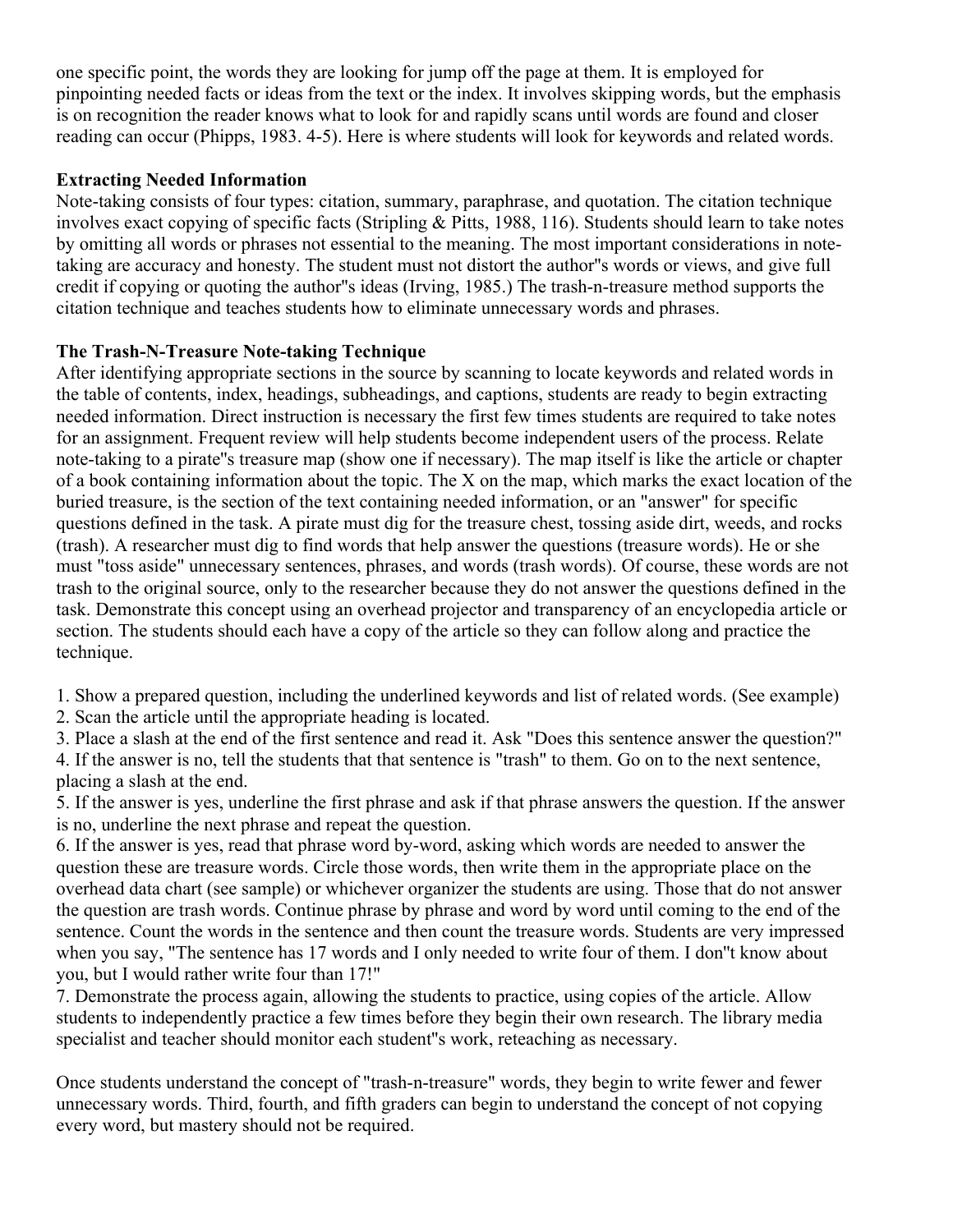one specific point, the words they are looking for jump off the page at them. It is employed for pinpointing needed facts or ideas from the text or the index. It involves skipping words, but the emphasis is on recognition the reader knows what to look for and rapidly scans until words are found and closer reading can occur (Phipps, 1983. 4-5). Here is where students will look for keywords and related words.

## **Extracting Needed Information**

Note-taking consists of four types: citation, summary, paraphrase, and quotation. The citation technique involves exact copying of specific facts (Stripling & Pitts, 1988, 116). Students should learn to take notes by omitting all words or phrases not essential to the meaning. The most important considerations in notetaking are accuracy and honesty. The student must not distort the author''s words or views, and give full credit if copying or quoting the author''s ideas (Irving, 1985.) The trash-n-treasure method supports the citation technique and teaches students how to eliminate unnecessary words and phrases.

## **The Trash-N-Treasure Note-taking Technique**

After identifying appropriate sections in the source by scanning to locate keywords and related words in the table of contents, index, headings, subheadings, and captions, students are ready to begin extracting needed information. Direct instruction is necessary the first few times students are required to take notes for an assignment. Frequent review will help students become independent users of the process. Relate note-taking to a pirate''s treasure map (show one if necessary). The map itself is like the article or chapter of a book containing information about the topic. The X on the map, which marks the exact location of the buried treasure, is the section of the text containing needed information, or an "answer" for specific questions defined in the task. A pirate must dig for the treasure chest, tossing aside dirt, weeds, and rocks (trash). A researcher must dig to find words that help answer the questions (treasure words). He or she must "toss aside" unnecessary sentences, phrases, and words (trash words). Of course, these words are not trash to the original source, only to the researcher because they do not answer the questions defined in the task. Demonstrate this concept using an overhead projector and transparency of an encyclopedia article or section. The students should each have a copy of the article so they can follow along and practice the technique.

1. Show a prepared question, including the underlined keywords and list of related words. (See example) 2. Scan the article until the appropriate heading is located.

3. Place a slash at the end of the first sentence and read it. Ask "Does this sentence answer the question?" 4. If the answer is no, tell the students that that sentence is "trash" to them. Go on to the next sentence, placing a slash at the end.

5. If the answer is yes, underline the first phrase and ask if that phrase answers the question. If the answer is no, underline the next phrase and repeat the question.

6. If the answer is yes, read that phrase word by-word, asking which words are needed to answer the question these are treasure words. Circle those words, then write them in the appropriate place on the overhead data chart (see sample) or whichever organizer the students are using. Those that do not answer the question are trash words. Continue phrase by phrase and word by word until coming to the end of the sentence. Count the words in the sentence and then count the treasure words. Students are very impressed when you say, "The sentence has 17 words and I only needed to write four of them. I don"t know about you, but I would rather write four than 17!"

7. Demonstrate the process again, allowing the students to practice, using copies of the article. Allow students to independently practice a few times before they begin their own research. The library media specialist and teacher should monitor each student''s work, reteaching as necessary.

Once students understand the concept of "trash-n-treasure" words, they begin to write fewer and fewer unnecessary words. Third, fourth, and fifth graders can begin to understand the concept of not copying every word, but mastery should not be required.